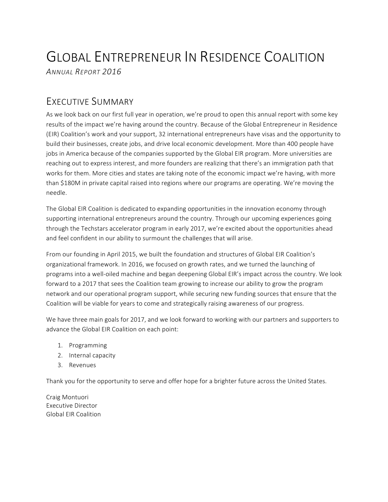# GLOBAL ENTREPRENEUR IN RESIDENCE COALITION *ANNUAL REPORT 2016*

# **FXECUTIVE SUMMARY**

As we look back on our first full year in operation, we're proud to open this annual report with some key results of the impact we're having around the country. Because of the Global Entrepreneur in Residence (EIR) Coalition's work and your support, 32 international entrepreneurs have visas and the opportunity to build their businesses, create jobs, and drive local economic development. More than 400 people have jobs in America because of the companies supported by the Global EIR program. More universities are reaching out to express interest, and more founders are realizing that there's an immigration path that works for them. More cities and states are taking note of the economic impact we're having, with more than \$180M in private capital raised into regions where our programs are operating. We're moving the needle.

The Global EIR Coalition is dedicated to expanding opportunities in the innovation economy through supporting international entrepreneurs around the country. Through our upcoming experiences going through the Techstars accelerator program in early 2017, we're excited about the opportunities ahead and feel confident in our ability to surmount the challenges that will arise.

From our founding in April 2015, we built the foundation and structures of Global EIR Coalition's organizational framework. In 2016, we focused on growth rates, and we turned the launching of programs into a well-oiled machine and began deepening Global EIR's impact across the country. We look forward to a 2017 that sees the Coalition team growing to increase our ability to grow the program network and our operational program support, while securing new funding sources that ensure that the Coalition will be viable for years to come and strategically raising awareness of our progress.

We have three main goals for 2017, and we look forward to working with our partners and supporters to advance the Global EIR Coalition on each point:

- 1. Programming
- 2. Internal capacity
- 3. Revenues

Thank you for the opportunity to serve and offer hope for a brighter future across the United States.

Craig Montuori Executive Director Global EIR Coalition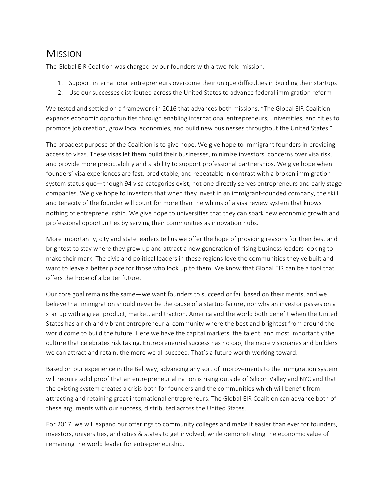# MISSION

The Global EIR Coalition was charged by our founders with a two-fold mission:

- 1. Support international entrepreneurs overcome their unique difficulties in building their startups
- 2. Use our successes distributed across the United States to advance federal immigration reform

We tested and settled on a framework in 2016 that advances both missions: "The Global EIR Coalition expands economic opportunities through enabling international entrepreneurs, universities, and cities to promote job creation, grow local economies, and build new businesses throughout the United States."

The broadest purpose of the Coalition is to give hope. We give hope to immigrant founders in providing access to visas. These visas let them build their businesses, minimize investors' concerns over visa risk, and provide more predictability and stability to support professional partnerships. We give hope when founders' visa experiences are fast, predictable, and repeatable in contrast with a broken immigration system status quo—though 94 visa categories exist, not one directly serves entrepreneurs and early stage companies. We give hope to investors that when they invest in an immigrant-founded company, the skill and tenacity of the founder will count for more than the whims of a visa review system that knows nothing of entrepreneurship. We give hope to universities that they can spark new economic growth and professional opportunities by serving their communities as innovation hubs.

More importantly, city and state leaders tell us we offer the hope of providing reasons for their best and brightest to stay where they grew up and attract a new generation of rising business leaders looking to make their mark. The civic and political leaders in these regions love the communities they've built and want to leave a better place for those who look up to them. We know that Global EIR can be a tool that offers the hope of a better future.

Our core goal remains the same—we want founders to succeed or fail based on their merits, and we believe that immigration should never be the cause of a startup failure, nor why an investor passes on a startup with a great product, market, and traction. America and the world both benefit when the United States has a rich and vibrant entrepreneurial community where the best and brightest from around the world come to build the future. Here we have the capital markets, the talent, and most importantly the culture that celebrates risk taking. Entrepreneurial success has no cap; the more visionaries and builders we can attract and retain, the more we all succeed. That's a future worth working toward.

Based on our experience in the Beltway, advancing any sort of improvements to the immigration system will require solid proof that an entrepreneurial nation is rising outside of Silicon Valley and NYC and that the existing system creates a crisis both for founders and the communities which will benefit from attracting and retaining great international entrepreneurs. The Global EIR Coalition can advance both of these arguments with our success, distributed across the United States.

For 2017, we will expand our offerings to community colleges and make it easier than ever for founders, investors, universities, and cities & states to get involved, while demonstrating the economic value of remaining the world leader for entrepreneurship.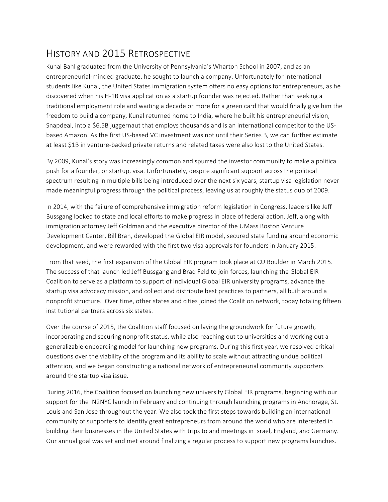# HISTORY AND 2015 RETROSPECTIVE

Kunal Bahl graduated from the University of Pennsylvania's Wharton School in 2007, and as an entrepreneurial-minded graduate, he sought to launch a company. Unfortunately for international students like Kunal, the United States immigration system offers no easy options for entrepreneurs, as he discovered when his H-1B visa application as a startup founder was rejected. Rather than seeking a traditional employment role and waiting a decade or more for a green card that would finally give him the freedom to build a company, Kunal returned home to India, where he built his entrepreneurial vision, Snapdeal, into a \$6.5B juggernaut that employs thousands and is an international competitor to the USbased Amazon. As the first US-based VC investment was not until their Series B, we can further estimate at least \$1B in venture-backed private returns and related taxes were also lost to the United States.

By 2009, Kunal's story was increasingly common and spurred the investor community to make a political push for a founder, or startup, visa. Unfortunately, despite significant support across the political spectrum resulting in multiple bills being introduced over the next six years, startup visa legislation never made meaningful progress through the political process, leaving us at roughly the status quo of 2009.

In 2014, with the failure of comprehensive immigration reform legislation in Congress, leaders like Jeff Bussgang looked to state and local efforts to make progress in place of federal action. Jeff, along with immigration attorney Jeff Goldman and the executive director of the UMass Boston Venture Development Center, Bill Brah, developed the Global EIR model, secured state funding around economic development, and were rewarded with the first two visa approvals for founders in January 2015.

From that seed, the first expansion of the Global EIR program took place at CU Boulder in March 2015. The success of that launch led Jeff Bussgang and Brad Feld to join forces, launching the Global EIR Coalition to serve as a platform to support of individual Global EIR university programs, advance the startup visa advocacy mission, and collect and distribute best practices to partners, all built around a nonprofit structure. Over time, other states and cities joined the Coalition network, today totaling fifteen institutional partners across six states.

Over the course of 2015, the Coalition staff focused on laying the groundwork for future growth, incorporating and securing nonprofit status, while also reaching out to universities and working out a generalizable onboarding model for launching new programs. During this first year, we resolved critical questions over the viability of the program and its ability to scale without attracting undue political attention, and we began constructing a national network of entrepreneurial community supporters around the startup visa issue.

During 2016, the Coalition focused on launching new university Global EIR programs, beginning with our support for the IN2NYC launch in February and continuing through launching programs in Anchorage, St. Louis and San Jose throughout the year. We also took the first steps towards building an international community of supporters to identify great entrepreneurs from around the world who are interested in building their businesses in the United States with trips to and meetings in Israel, England, and Germany. Our annual goal was set and met around finalizing a regular process to support new programs launches.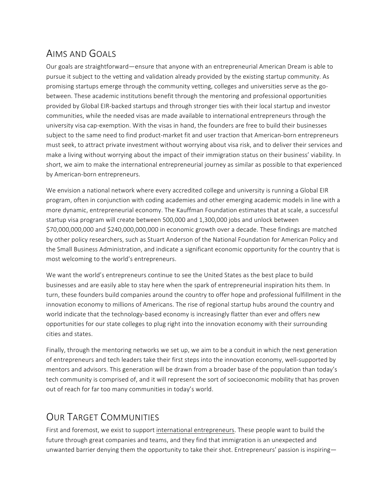# AIMS AND GOALS

Our goals are straightforward—ensure that anyone with an entrepreneurial American Dream is able to pursue it subject to the vetting and validation already provided by the existing startup community. As promising startups emerge through the community vetting, colleges and universities serve as the gobetween. These academic institutions benefit through the mentoring and professional opportunities provided by Global EIR-backed startups and through stronger ties with their local startup and investor communities, while the needed visas are made available to international entrepreneurs through the university visa cap-exemption. With the visas in hand, the founders are free to build their businesses subject to the same need to find product-market fit and user traction that American-born entrepreneurs must seek, to attract private investment without worrying about visa risk, and to deliver their services and make a living without worrying about the impact of their immigration status on their business' viability. In short, we aim to make the international entrepreneurial journey as similar as possible to that experienced by American-born entrepreneurs.

We envision a national network where every accredited college and university is running a Global EIR program, often in conjunction with coding academies and other emerging academic models in line with a more dynamic, entrepreneurial economy. The Kauffman Foundation estimates that at scale, a successful startup visa program will create between 500,000 and 1,300,000 jobs and unlock between \$70,000,000,000 and \$240,000,000,000 in economic growth over a decade. These findings are matched by other policy researchers, such as Stuart Anderson of the National Foundation for American Policy and the Small Business Administration, and indicate a significant economic opportunity for the country that is most welcoming to the world's entrepreneurs.

We want the world's entrepreneurs continue to see the United States as the best place to build businesses and are easily able to stay here when the spark of entrepreneurial inspiration hits them. In turn, these founders build companies around the country to offer hope and professional fulfillment in the innovation economy to millions of Americans. The rise of regional startup hubs around the country and world indicate that the technology-based economy is increasingly flatter than ever and offers new opportunities for our state colleges to plug right into the innovation economy with their surrounding cities and states.

Finally, through the mentoring networks we set up, we aim to be a conduit in which the next generation of entrepreneurs and tech leaders take their first steps into the innovation economy, well-supported by mentors and advisors. This generation will be drawn from a broader base of the population than today's tech community is comprised of, and it will represent the sort of socioeconomic mobility that has proven out of reach for far too many communities in today's world.

# **OUR TARGET COMMUNITIES**

First and foremost, we exist to support international entrepreneurs. These people want to build the future through great companies and teams, and they find that immigration is an unexpected and unwanted barrier denying them the opportunity to take their shot. Entrepreneurs' passion is inspiring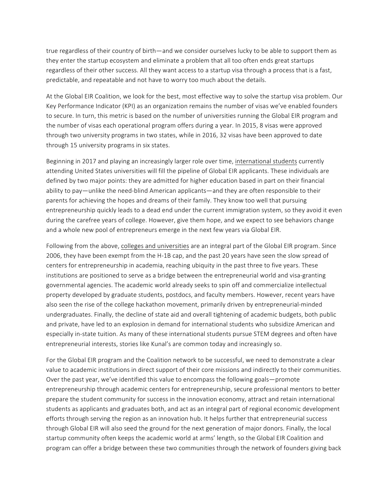true regardless of their country of birth—and we consider ourselves lucky to be able to support them as they enter the startup ecosystem and eliminate a problem that all too often ends great startups regardless of their other success. All they want access to a startup visa through a process that is a fast, predictable, and repeatable and not have to worry too much about the details.

At the Global EIR Coalition, we look for the best, most effective way to solve the startup visa problem. Our Key Performance Indicator (KPI) as an organization remains the number of visas we've enabled founders to secure. In turn, this metric is based on the number of universities running the Global EIR program and the number of visas each operational program offers during a year. In 2015, 8 visas were approved through two university programs in two states, while in 2016, 32 visas have been approved to date through 15 university programs in six states.

Beginning in 2017 and playing an increasingly larger role over time, international students currently attending United States universities will fill the pipeline of Global EIR applicants. These individuals are defined by two major points: they are admitted for higher education based in part on their financial ability to pay—unlike the need-blind American applicants—and they are often responsible to their parents for achieving the hopes and dreams of their family. They know too well that pursuing entrepreneurship quickly leads to a dead end under the current immigration system, so they avoid it even during the carefree years of college. However, give them hope, and we expect to see behaviors change and a whole new pool of entrepreneurs emerge in the next few years via Global EIR.

Following from the above, colleges and universities are an integral part of the Global EIR program. Since 2006, they have been exempt from the H-1B cap, and the past 20 years have seen the slow spread of centers for entrepreneurship in academia, reaching ubiquity in the past three to five years. These institutions are positioned to serve as a bridge between the entrepreneurial world and visa-granting governmental agencies. The academic world already seeks to spin off and commercialize intellectual property developed by graduate students, postdocs, and faculty members. However, recent years have also seen the rise of the college hackathon movement, primarily driven by entrepreneurial-minded undergraduates. Finally, the decline of state aid and overall tightening of academic budgets, both public and private, have led to an explosion in demand for international students who subsidize American and especially in-state tuition. As many of these international students pursue STEM degrees and often have entrepreneurial interests, stories like Kunal's are common today and increasingly so.

For the Global EIR program and the Coalition network to be successful, we need to demonstrate a clear value to academic institutions in direct support of their core missions and indirectly to their communities. Over the past year, we've identified this value to encompass the following goals—promote entrepreneurship through academic centers for entrepreneurship, secure professional mentors to better prepare the student community for success in the innovation economy, attract and retain international students as applicants and graduates both, and act as an integral part of regional economic development efforts through serving the region as an innovation hub. It helps further that entrepreneurial success through Global EIR will also seed the ground for the next generation of major donors. Finally, the local startup community often keeps the academic world at arms' length, so the Global EIR Coalition and program can offer a bridge between these two communities through the network of founders giving back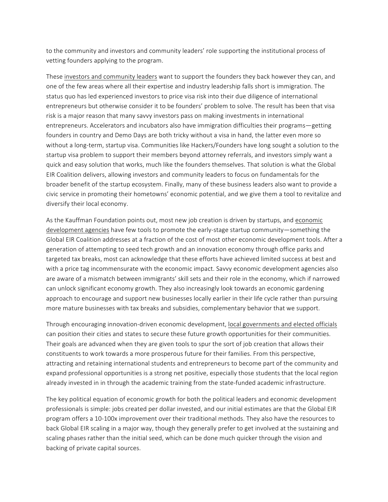to the community and investors and community leaders' role supporting the institutional process of vetting founders applying to the program.

These investors and community leaders want to support the founders they back however they can, and one of the few areas where all their expertise and industry leadership falls short is immigration. The status quo has led experienced investors to price visa risk into their due diligence of international entrepreneurs but otherwise consider it to be founders' problem to solve. The result has been that visa risk is a major reason that many savvy investors pass on making investments in international entrepreneurs. Accelerators and incubators also have immigration difficulties their programs-getting founders in country and Demo Days are both tricky without a visa in hand, the latter even more so without a long-term, startup visa. Communities like Hackers/Founders have long sought a solution to the startup visa problem to support their members beyond attorney referrals, and investors simply want a quick and easy solution that works, much like the founders themselves. That solution is what the Global EIR Coalition delivers, allowing investors and community leaders to focus on fundamentals for the broader benefit of the startup ecosystem. Finally, many of these business leaders also want to provide a civic service in promoting their hometowns' economic potential, and we give them a tool to revitalize and diversify their local economy.

As the Kauffman Foundation points out, most new job creation is driven by startups, and economic development agencies have few tools to promote the early-stage startup community—something the Global EIR Coalition addresses at a fraction of the cost of most other economic development tools. After a generation of attempting to seed tech growth and an innovation economy through office parks and targeted tax breaks, most can acknowledge that these efforts have achieved limited success at best and with a price tag incommensurate with the economic impact. Savvy economic development agencies also are aware of a mismatch between immigrants' skill sets and their role in the economy, which if narrowed can unlock significant economy growth. They also increasingly look towards an economic gardening approach to encourage and support new businesses locally earlier in their life cycle rather than pursuing more mature businesses with tax breaks and subsidies, complementary behavior that we support.

Through encouraging innovation-driven economic development, local governments and elected officials can position their cities and states to secure these future growth opportunities for their communities. Their goals are advanced when they are given tools to spur the sort of job creation that allows their constituents to work towards a more prosperous future for their families. From this perspective, attracting and retaining international students and entrepreneurs to become part of the community and expand professional opportunities is a strong net positive, especially those students that the local region already invested in in through the academic training from the state-funded academic infrastructure.

The key political equation of economic growth for both the political leaders and economic development professionals is simple: jobs created per dollar invested, and our initial estimates are that the Global EIR program offers a 10-100x improvement over their traditional methods. They also have the resources to back Global EIR scaling in a major way, though they generally prefer to get involved at the sustaining and scaling phases rather than the initial seed, which can be done much quicker through the vision and backing of private capital sources.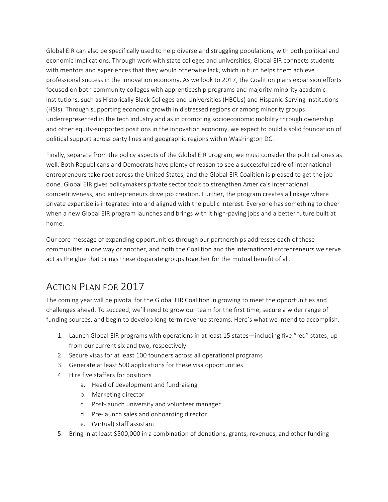Global EIR can also be specifically used to help diverse and struggling populations, with both political and economic implications. Through work with state colleges and universities, Global EIR connects students with mentors and experiences that they would otherwise lack, which in turn helps them achieve professional success in the innovation economy. As we look to 2017, the Coalition plans expansion efforts focused on both community colleges with apprenticeship programs and majority-minority academic institutions, such as Historically Black Colleges and Universities (HBCUs) and Hispanic-Serving Institutions (HSIs). Through supporting economic growth in distressed regions or among minority groups underrepresented in the tech industry and as in promoting socioeconomic mobility through ownership and other equity-supported positions in the innovation economy, we expect to build a solid foundation of political support across party lines and geographic regions within Washington DC.

Finally, separate from the policy aspects of the Global EIR program, we must consider the political ones as well. Both Republicans and Democrats have plenty of reason to see a successful cadre of international entrepreneurs take root across the United States, and the Global EIR Coalition is pleased to get the job done. Global EIR gives policymakers private sector tools to strengthen America's international competitiveness, and entrepreneurs drive job creation. Further, the program creates a linkage where private expertise is integrated into and aligned with the public interest. Everyone has something to cheer when a new Global EIR program launches and brings with it high-paying jobs and a better future built at home.

Our core message of expanding opportunities through our partnerships addresses each of these communities in one way or another, and both the Coalition and the international entrepreneurs we serve act as the glue that brings these disparate groups together for the mutual benefit of all.

# **ACTION PLAN FOR 2017**

The coming year will be pivotal for the Global EIR Coalition in growing to meet the opportunities and challenges ahead. To succeed, we'll need to grow our team for the first time, secure a wider range of funding sources, and begin to develop long-term revenue streams. Here's what we intend to accomplish:

- 1. Launch Global EIR programs with operations in at least 15 states—including five "red" states; up from our current six and two, respectively
- 2. Secure visas for at least 100 founders across all operational programs
- 3. Generate at least 500 applications for these visa opportunities
- 4. Hire five staffers for positions
	- a. Head of development and fundraising
	- b. Marketing director
	- c. Post-launch university and volunteer manager
	- d. Pre-launch sales and onboarding director
	- e. (Virtual) staff assistant
- 5. Bring in at least \$500,000 in a combination of donations, grants, revenues, and other funding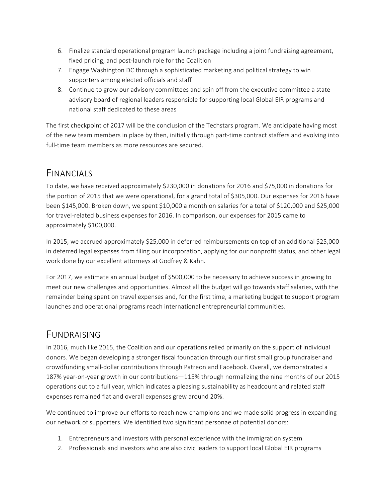- 6. Finalize standard operational program launch package including a joint fundraising agreement, fixed pricing, and post-launch role for the Coalition
- 7. Engage Washington DC through a sophisticated marketing and political strategy to win supporters among elected officials and staff
- 8. Continue to grow our advisory committees and spin off from the executive committee a state advisory board of regional leaders responsible for supporting local Global EIR programs and national staff dedicated to these areas

The first checkpoint of 2017 will be the conclusion of the Techstars program. We anticipate having most of the new team members in place by then, initially through part-time contract staffers and evolving into full-time team members as more resources are secured.

# FINANCIALS

To date, we have received approximately \$230,000 in donations for 2016 and \$75,000 in donations for the portion of 2015 that we were operational, for a grand total of \$305,000. Our expenses for 2016 have been \$145,000. Broken down, we spent \$10,000 a month on salaries for a total of \$120,000 and \$25,000 for travel-related business expenses for 2016. In comparison, our expenses for 2015 came to approximately \$100,000.

In 2015, we accrued approximately \$25,000 in deferred reimbursements on top of an additional \$25,000 in deferred legal expenses from filing our incorporation, applying for our nonprofit status, and other legal work done by our excellent attorneys at Godfrey & Kahn.

For 2017, we estimate an annual budget of \$500,000 to be necessary to achieve success in growing to meet our new challenges and opportunities. Almost all the budget will go towards staff salaries, with the remainder being spent on travel expenses and, for the first time, a marketing budget to support program launches and operational programs reach international entrepreneurial communities.

# FUNDRAISING

In 2016, much like 2015, the Coalition and our operations relied primarily on the support of individual donors. We began developing a stronger fiscal foundation through our first small group fundraiser and crowdfunding small-dollar contributions through Patreon and Facebook. Overall, we demonstrated a 187% year-on-year growth in our contributions—115% through normalizing the nine months of our 2015 operations out to a full year, which indicates a pleasing sustainability as headcount and related staff expenses remained flat and overall expenses grew around 20%.

We continued to improve our efforts to reach new champions and we made solid progress in expanding our network of supporters. We identified two significant personae of potential donors:

- 1. Entrepreneurs and investors with personal experience with the immigration system
- 2. Professionals and investors who are also civic leaders to support local Global EIR programs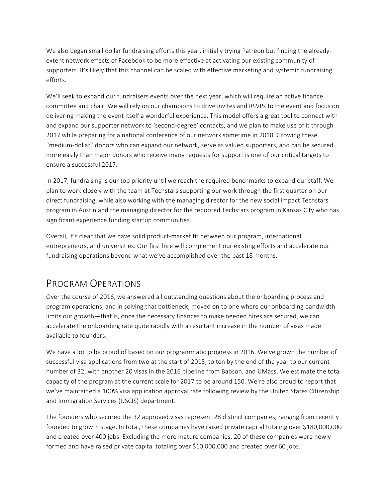We also began small dollar fundraising efforts this year, initially trying Patreon but finding the alreadyextent network effects of Facebook to be more effective at activating our existing community of supporters. It's likely that this channel can be scaled with effective marketing and systemic fundraising efforts.

We'll seek to expand our fundraisers events over the next year, which will require an active finance committee and chair. We will rely on our champions to drive invites and RSVPs to the event and focus on delivering making the event itself a wonderful experience. This model offers a great tool to connect with and expand our supporter network to 'second-degree' contacts, and we plan to make use of it through 2017 while preparing for a national conference of our network sometime in 2018. Growing these "medium-dollar" donors who can expand our network, serve as valued supporters, and can be secured more easily than major donors who receive many requests for support is one of our critical targets to ensure a successful 2017.

In 2017, fundraising is our top priority until we reach the required benchmarks to expand our staff. We plan to work closely with the team at Techstars supporting our work through the first quarter on our direct fundraising, while also working with the managing director for the new social impact Techstars program in Austin and the managing director for the rebooted Techstars program in Kansas City who has significant experience funding startup communities.

Overall, it's clear that we have solid product-market fit between our program, international entrepreneurs, and universities. Our first hire will complement our existing efforts and accelerate our fundraising operations beyond what we've accomplished over the past 18 months.

### PROGRAM OPERATIONS

Over the course of 2016, we answered all outstanding questions about the onboarding process and program operations, and in solving that bottleneck, moved on to one where our onboarding bandwidth limits our growth—that is, once the necessary finances to make needed hires are secured, we can accelerate the onboarding rate quite rapidly with a resultant increase in the number of visas made available to founders.

We have a lot to be proud of based on our programmatic progress in 2016. We've grown the number of successful visa applications from two at the start of 2015, to ten by the end of the year to our current number of 32, with another 20 visas in the 2016 pipeline from Babson, and UMass. We estimate the total capacity of the program at the current scale for 2017 to be around 150. We're also proud to report that we've maintained a 100% visa application approval rate following review by the United States Citizenship and Immigration Services (USCIS) department.

The founders who secured the 32 approved visas represent 28 distinct companies, ranging from recently founded to growth stage. In total, these companies have raised private capital totaling over \$180,000,000 and created over 400 jobs. Excluding the more mature companies, 20 of these companies were newly formed and have raised private capital totaling over \$10,000,000 and created over 60 jobs.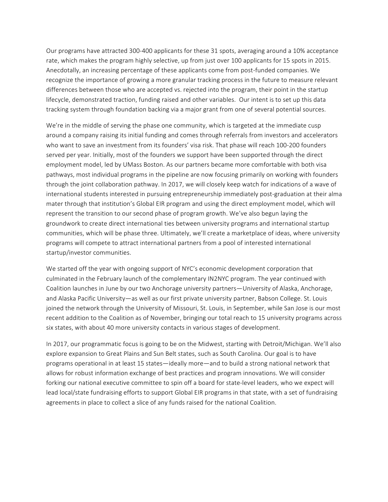Our programs have attracted 300-400 applicants for these 31 spots, averaging around a 10% acceptance rate, which makes the program highly selective, up from just over 100 applicants for 15 spots in 2015. Anecdotally, an increasing percentage of these applicants come from post-funded companies. We recognize the importance of growing a more granular tracking process in the future to measure relevant differences between those who are accepted vs. rejected into the program, their point in the startup lifecycle, demonstrated traction, funding raised and other variables. Our intent is to set up this data tracking system through foundation backing via a major grant from one of several potential sources.

We're in the middle of serving the phase one community, which is targeted at the immediate cusp around a company raising its initial funding and comes through referrals from investors and accelerators who want to save an investment from its founders' visa risk. That phase will reach 100-200 founders served per year. Initially, most of the founders we support have been supported through the direct employment model, led by UMass Boston. As our partners became more comfortable with both visa pathways, most individual programs in the pipeline are now focusing primarily on working with founders through the joint collaboration pathway. In 2017, we will closely keep watch for indications of a wave of international students interested in pursuing entrepreneurship immediately post-graduation at their alma mater through that institution's Global EIR program and using the direct employment model, which will represent the transition to our second phase of program growth. We've also begun laying the groundwork to create direct international ties between university programs and international startup communities, which will be phase three. Ultimately, we'll create a marketplace of ideas, where university programs will compete to attract international partners from a pool of interested international startup/investor communities.

We started off the year with ongoing support of NYC's economic development corporation that culminated in the February launch of the complementary IN2NYC program. The year continued with Coalition launches in June by our two Anchorage university partners—University of Alaska, Anchorage, and Alaska Pacific University—as well as our first private university partner, Babson College. St. Louis joined the network through the University of Missouri, St. Louis, in September, while San Jose is our most recent addition to the Coalition as of November, bringing our total reach to 15 university programs across six states, with about 40 more university contacts in various stages of development.

In 2017, our programmatic focus is going to be on the Midwest, starting with Detroit/Michigan. We'll also explore expansion to Great Plains and Sun Belt states, such as South Carolina. Our goal is to have programs operational in at least 15 states—ideally more—and to build a strong national network that allows for robust information exchange of best practices and program innovations. We will consider forking our national executive committee to spin off a board for state-level leaders, who we expect will lead local/state fundraising efforts to support Global EIR programs in that state, with a set of fundraising agreements in place to collect a slice of any funds raised for the national Coalition.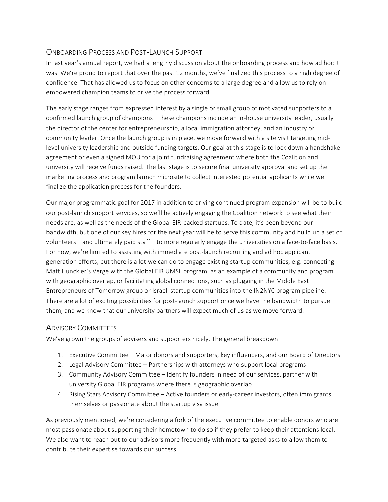### ONBOARDING PROCESS AND POST-LAUNCH SUPPORT

In last year's annual report, we had a lengthy discussion about the onboarding process and how ad hoc it was. We're proud to report that over the past 12 months, we've finalized this process to a high degree of confidence. That has allowed us to focus on other concerns to a large degree and allow us to rely on empowered champion teams to drive the process forward.

The early stage ranges from expressed interest by a single or small group of motivated supporters to a confirmed launch group of champions—these champions include an in-house university leader, usually the director of the center for entrepreneurship, a local immigration attorney, and an industry or community leader. Once the launch group is in place, we move forward with a site visit targeting midlevel university leadership and outside funding targets. Our goal at this stage is to lock down a handshake agreement or even a signed MOU for a joint fundraising agreement where both the Coalition and university will receive funds raised. The last stage is to secure final university approval and set up the marketing process and program launch microsite to collect interested potential applicants while we finalize the application process for the founders.

Our major programmatic goal for 2017 in addition to driving continued program expansion will be to build our post-launch support services, so we'll be actively engaging the Coalition network to see what their needs are, as well as the needs of the Global EIR-backed startups. To date, it's been beyond our bandwidth, but one of our key hires for the next year will be to serve this community and build up a set of volunteers—and ultimately paid staff—to more regularly engage the universities on a face-to-face basis. For now, we're limited to assisting with immediate post-launch recruiting and ad hoc applicant generation efforts, but there is a lot we can do to engage existing startup communities, e.g. connecting Matt Hunckler's Verge with the Global EIR UMSL program, as an example of a community and program with geographic overlap, or facilitating global connections, such as plugging in the Middle East Entrepreneurs of Tomorrow group or Israeli startup communities into the IN2NYC program pipeline. There are a lot of exciting possibilities for post-launch support once we have the bandwidth to pursue them, and we know that our university partners will expect much of us as we move forward.

#### **ADVISORY COMMITTEES**

We've grown the groups of advisers and supporters nicely. The general breakdown:

- 1. Executive Committee Major donors and supporters, key influencers, and our Board of Directors
- 2. Legal Advisory Committee Partnerships with attorneys who support local programs
- 3. Community Advisory Committee Identify founders in need of our services, partner with university Global EIR programs where there is geographic overlap
- 4. Rising Stars Advisory Committee Active founders or early-career investors, often immigrants themselves or passionate about the startup visa issue

As previously mentioned, we're considering a fork of the executive committee to enable donors who are most passionate about supporting their hometown to do so if they prefer to keep their attentions local. We also want to reach out to our advisors more frequently with more targeted asks to allow them to contribute their expertise towards our success.